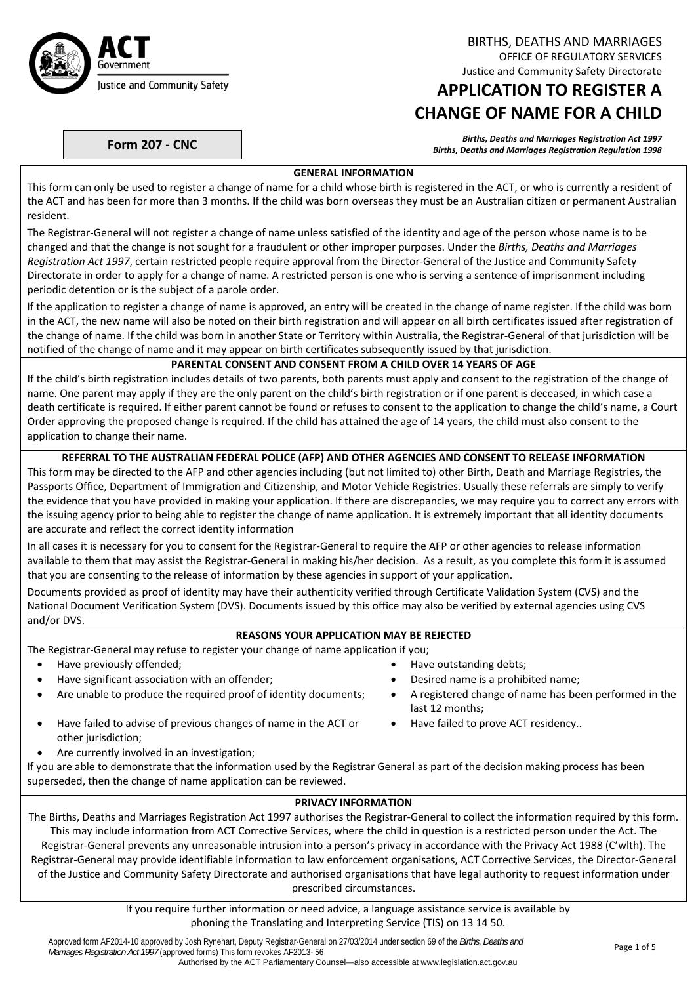

BIRTHS, DEATHS AND MARRIAGES OFFICE OF REGULATORY SERVICES Justice and Community Safety Directorate

# **APPLICATION TO REGISTER A CHANGE OF NAME FOR A CHILD**

Births, Deaths and Marriages Registration Act 1997<br>Births, Deaths and Marriages Registration Regulation 1998 (Births, Deaths and Marriages Registration Regulation

# **GENERAL INFORMATION**

This form can only be used to register a change of name for a child whose birth is registered in the ACT, or who is currently a resident of the ACT and has been for more than 3 months. If the child was born overseas they must be an Australian citizen or permanent Australian resident.

The Registrar‐General will not register a change of name unless satisfied of the identity and age of the person whose name is to be changed and that the change is not sought for a fraudulent or other improper purposes. Under the *Births, Deaths and Marriages Registration Act 1997*, certain restricted people require approval from the Director‐General of the Justice and Community Safety Directorate in order to apply for a change of name. A restricted person is one who is serving a sentence of imprisonment including periodic detention or is the subject of a parole order.

If the application to register a change of name is approved, an entry will be created in the change of name register. If the child was born in the ACT, the new name will also be noted on their birth registration and will appear on all birth certificates issued after registration of the change of name. If the child was born in another State or Territory within Australia, the Registrar‐General of that jurisdiction will be notified of the change of name and it may appear on birth certificates subsequently issued by that jurisdiction.

### **PARENTAL CONSENT AND CONSENT FROM A CHILD OVER 14 YEARS OF AGE**

If the child's birth registration includes details of two parents, both parents must apply and consent to the registration of the change of name. One parent may apply if they are the only parent on the child's birth registration or if one parent is deceased, in which case a death certificate is required. If either parent cannot be found or refuses to consent to the application to change the child's name, a Court Order approving the proposed change is required. If the child has attained the age of 14 years, the child must also consent to the application to change their name.

### **REFERRAL TO THE AUSTRALIAN FEDERAL POLICE (AFP) AND OTHER AGENCIES AND CONSENT TO RELEASE INFORMATION**

This form may be directed to the AFP and other agencies including (but not limited to) other Birth, Death and Marriage Registries, the Passports Office, Department of Immigration and Citizenship, and Motor Vehicle Registries. Usually these referrals are simply to verify the evidence that you have provided in making your application. If there are discrepancies, we may require you to correct any errors with the issuing agency prior to being able to register the change of name application. It is extremely important that all identity documents are accurate and reflect the correct identity information

In all cases it is necessary for you to consent for the Registrar-General to require the AFP or other agencies to release information available to them that may assist the Registrar‐General in making his/her decision. As a result, as you complete this form it is assumed that you are consenting to the release of information by these agencies in support of your application.

Documents provided as proof of identity may have their authenticity verified through Certificate Validation System (CVS) and the National Document Verification System (DVS). Documents issued by this office may also be verified by external agencies using CVS and/or DVS.

# **REASONS YOUR APPLICATION MAY BE REJECTED**

The Registrar‐General may refuse to register your change of name application if you;

- Have previously offended;  $\bullet$  Have outstanding debts;
- Have significant association with an offender; **Desity and Secure 1** and Desired name is a prohibited name;
- Are unable to produce the required proof of identity documents; A registered change of name has been performed in the
- Have failed to advise of previous changes of name in the ACT or other jurisdiction;
- Are currently involved in an investigation;
- If you are able to demonstrate that the information used by the Registrar General as part of the decision making process has been superseded, then the change of name application can be reviewed.

#### **PRIVACY INFORMATION**

last 12 months;

Have failed to prove ACT residency..

The Births, Deaths and Marriages Registration Act 1997 authorises the Registrar‐General to collect the information required by this form. This may include information from ACT Corrective Services, where the child in question is a restricted person under the Act. The Registrar‐General prevents any unreasonable intrusion into a person's privacy in accordance with the Privacy Act 1988 (C'wlth). The Registrar‐General may provide identifiable information to law enforcement organisations, ACT Corrective Services, the Director‐General of the Justice and Community Safety Directorate and authorised organisations that have legal authority to request information under prescribed circumstances.

> If you require further information or need advice, a language assistance service is available by phoning the Translating and Interpreting Service (TIS) on 13 14 50.

Approved form AF2014-10 approved by Josh Rynehart, Deputy Registrar-General on 27/03/2014 under section 69 of the *Births, Deaths and* Approved form AF2014-T0 approved by Josh Ryflenart, Deputy Registrat-General on 27/03/2014 under Section 69 of the *Births, Deaths and* Page 1 of 5 Page 1 of 5 Page 1 of 5 Page 1 of 5 Page 1 of 5 Page 1 of 5 Page 1 of 5 Pa Authorised by the ACT Parliamentary Counsel—also accessible at www.legislation.act.gov.au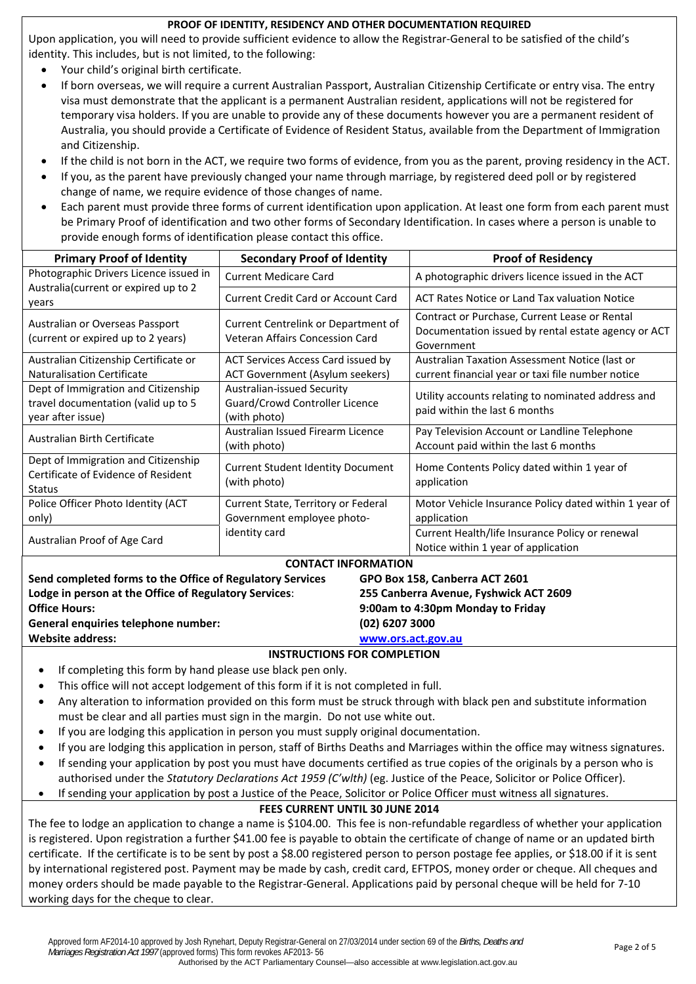# **PROOF OF IDENTITY, RESIDENCY AND OTHER DOCUMENTATION REQUIRED**

Upon application, you will need to provide sufficient evidence to allow the Registrar‐General to be satisfied of the child's identity. This includes, but is not limited, to the following:

- Your child's original birth certificate.
- If born overseas, we will require a current Australian Passport, Australian Citizenship Certificate or entry visa. The entry visa must demonstrate that the applicant is a permanent Australian resident, applications will not be registered for temporary visa holders. If you are unable to provide any of these documents however you are a permanent resident of Australia, you should provide a Certificate of Evidence of Resident Status, available from the Department of Immigration and Citizenship.
- If the child is not born in the ACT, we require two forms of evidence, from you as the parent, proving residency in the ACT.
- If you, as the parent have previously changed your name through marriage, by registered deed poll or by registered change of name, we require evidence of those changes of name.
- Each parent must provide three forms of current identification upon application. At least one form from each parent must be Primary Proof of identification and two other forms of Secondary Identification. In cases where a person is unable to provide enough forms of identification please contact this office.

| <b>Primary Proof of Identity</b>                                                                | <b>Secondary Proof of Identity</b>                                                          | <b>Proof of Residency</b>                                                                                          |  |  |  |  |
|-------------------------------------------------------------------------------------------------|---------------------------------------------------------------------------------------------|--------------------------------------------------------------------------------------------------------------------|--|--|--|--|
| Photographic Drivers Licence issued in                                                          | <b>Current Medicare Card</b>                                                                | A photographic drivers licence issued in the ACT                                                                   |  |  |  |  |
| Australia (current or expired up to 2<br>years                                                  | <b>Current Credit Card or Account Card</b>                                                  | ACT Rates Notice or Land Tax valuation Notice                                                                      |  |  |  |  |
| Australian or Overseas Passport<br>(current or expired up to 2 years)                           | Current Centrelink or Department of<br>Veteran Affairs Concession Card                      | Contract or Purchase, Current Lease or Rental<br>Documentation issued by rental estate agency or ACT<br>Government |  |  |  |  |
| Australian Citizenship Certificate or<br>Naturalisation Certificate                             | ACT Services Access Card issued by<br><b>ACT Government (Asylum seekers)</b>                | Australian Taxation Assessment Notice (last or<br>current financial year or taxi file number notice                |  |  |  |  |
| Dept of Immigration and Citizenship<br>travel documentation (valid up to 5<br>year after issue) | Australian-issued Security<br>Guard/Crowd Controller Licence<br>(with photo)                | Utility accounts relating to nominated address and<br>paid within the last 6 months                                |  |  |  |  |
| Australian Birth Certificate                                                                    | Australian Issued Firearm Licence<br>(with photo)                                           | Pay Television Account or Landline Telephone<br>Account paid within the last 6 months                              |  |  |  |  |
| Dept of Immigration and Citizenship<br>Certificate of Evidence of Resident<br><b>Status</b>     | <b>Current Student Identity Document</b><br>(with photo)                                    | Home Contents Policy dated within 1 year of<br>application                                                         |  |  |  |  |
| Police Officer Photo Identity (ACT<br>only)                                                     | Current State, Territory or Federal<br>Government employee photo-                           | Motor Vehicle Insurance Policy dated within 1 year of<br>application                                               |  |  |  |  |
| Australian Proof of Age Card                                                                    | identity card                                                                               | Current Health/life Insurance Policy or renewal<br>Notice within 1 year of application                             |  |  |  |  |
|                                                                                                 | <b>CONTACT INFORMATION</b>                                                                  |                                                                                                                    |  |  |  |  |
|                                                                                                 | Send completed forms to the Office of Regulatory Services<br>GPO Box 158, Canberra ACT 2601 |                                                                                                                    |  |  |  |  |
| Lodge in person at the Office of Regulatory Services:                                           |                                                                                             | 255 Canberra Avenue, Fyshwick ACT 2609                                                                             |  |  |  |  |
| <b>Office Hours:</b>                                                                            |                                                                                             | 9:00am to 4:30pm Monday to Friday                                                                                  |  |  |  |  |
| General enquiries telephone number:                                                             |                                                                                             | (02) 6207 3000                                                                                                     |  |  |  |  |
| <b>Website address:</b>                                                                         |                                                                                             | www.ors.act.gov.au                                                                                                 |  |  |  |  |

# **INSTRUCTIONS FOR COMPLETION**

- If completing this form by hand please use black pen only.
- This office will not accept lodgement of this form if it is not completed in full.
- Any alteration to information provided on this form must be struck through with black pen and substitute information must be clear and all parties must sign in the margin. Do not use white out.
- If you are lodging this application in person you must supply original documentation.
- If you are lodging this application in person, staff of Births Deaths and Marriages within the office may witness signatures.
- If sending your application by post you must have documents certified as true copies of the originals by a person who is authorised under the *Statutory Declarations Act 1959 (C'wlth)* (eg. Justice of the Peace, Solicitor or Police Officer).
- If sending your application by post a Justice of the Peace, Solicitor or Police Officer must witness all signatures.

# **FEES CURRENT UNTIL 30 JUNE 2014**

The fee to lodge an application to change a name is \$104.00. This fee is non-refundable regardless of whether your application is registered. Upon registration a further \$41.00 fee is payable to obtain the certificate of change of name or an updated birth certificate. If the certificate is to be sent by post a \$8.00 registered person to person postage fee applies, or \$18.00 if it is sent by international registered post. Payment may be made by cash, credit card, EFTPOS, money order or cheque. All cheques and money orders should be made payable to the Registrar-General. Applications paid by personal cheque will be held for 7-10 working days for the cheque to clear.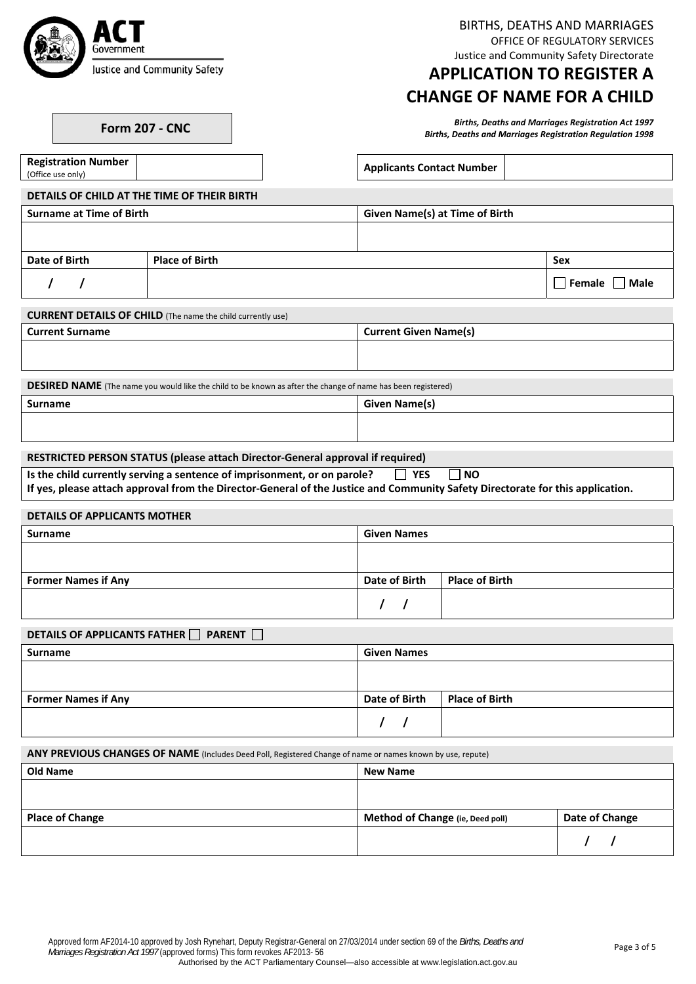

BIRTHS, DEATHS AND MARRIAGES OFFICE OF REGULATORY SERVICES Justice and Community Safety Directorate

# **APPLICATION TO REGISTER A CHANGE OF NAME FOR A CHILD**

Births, Deaths and Marriages Registration Act 1997<br>Births, Deaths and Marriages Registration Regulation 1998 (Births, Deaths and Marriages Registration Regulation

**Applicants Contact Number** 

**DETAILS OF CHILD AT THE TIME OF THEIR BIRTH**

| <b>Surname at Time of Birth</b> |                       | <b>Given Name(s) at Time of Birth</b> |     |  |  |  |
|---------------------------------|-----------------------|---------------------------------------|-----|--|--|--|
|                                 |                       |                                       |     |  |  |  |
|                                 |                       |                                       |     |  |  |  |
| Date of Birth                   | <b>Place of Birth</b> |                                       | Sex |  |  |  |
|                                 |                       |                                       |     |  |  |  |

**Registration Number**

 **/ / Female Male**

| <b>CURRENT DETAILS OF CHILD</b> (The name the child currently use) |                              |
|--------------------------------------------------------------------|------------------------------|
| Current Surname                                                    | <b>Current Given Name(s)</b> |
|                                                                    |                              |

**DESIRED NAME** (The name you would like the child to be known as after the change of name has been registered)

| <b>Surname</b> | Given Name<br><b>PRODUCTION</b> |
|----------------|---------------------------------|
|                |                                 |
|                |                                 |

#### **RESTRICTED PERSON STATUS (please attach Director‐General approval if required)**

| Is the child currently serving a sentence of imprisonment, or on parole? $\Box$ YES $\Box$ NO                                                                                                                                                                                                                                                                                                                                |  |
|------------------------------------------------------------------------------------------------------------------------------------------------------------------------------------------------------------------------------------------------------------------------------------------------------------------------------------------------------------------------------------------------------------------------------|--|
| $\mathbf{R} = \mathbf{R} = \mathbf{R} = \mathbf{R} = \mathbf{R} = \mathbf{R} = \mathbf{R} = \mathbf{R} = \mathbf{R} = \mathbf{R} = \mathbf{R} = \mathbf{R} = \mathbf{R} = \mathbf{R} = \mathbf{R} = \mathbf{R} = \mathbf{R} = \mathbf{R} = \mathbf{R} = \mathbf{R} = \mathbf{R} = \mathbf{R} = \mathbf{R} = \mathbf{R} = \mathbf{R} = \mathbf{R} = \mathbf{R} = \mathbf{R} = \mathbf{R} = \mathbf{R} = \mathbf{R} = \mathbf$ |  |

If yes, please attach approval from the Director-General of the Justice and Community Safety Directorate for this application.

#### **DETAILS OF APPLICANTS MOTHER**

| Surname                    | <b>Given Names</b> |                       |  |  |
|----------------------------|--------------------|-----------------------|--|--|
|                            |                    |                       |  |  |
| <b>Former Names if Any</b> | Date of Birth      | <b>Place of Birth</b> |  |  |
|                            |                    |                       |  |  |

#### **DETAILS OF APPLICANTS FATHER PARENT**

| Surname                    | <b>Given Names</b> |                       |
|----------------------------|--------------------|-----------------------|
|                            |                    |                       |
| <b>Former Names if Any</b> | Date of Birth      | <b>Place of Birth</b> |
|                            |                    |                       |
|                            |                    |                       |

**ANY PREVIOUS CHANGES OF NAME** (Includes Deed Poll, Registered Change of name or names known by use, repute)

| Old Name               | <b>New Name</b>                  |                |  |  |  |  |  |
|------------------------|----------------------------------|----------------|--|--|--|--|--|
|                        |                                  |                |  |  |  |  |  |
|                        |                                  |                |  |  |  |  |  |
| <b>Place of Change</b> | Method of Change (ie, Deed poll) | Date of Change |  |  |  |  |  |
|                        |                                  |                |  |  |  |  |  |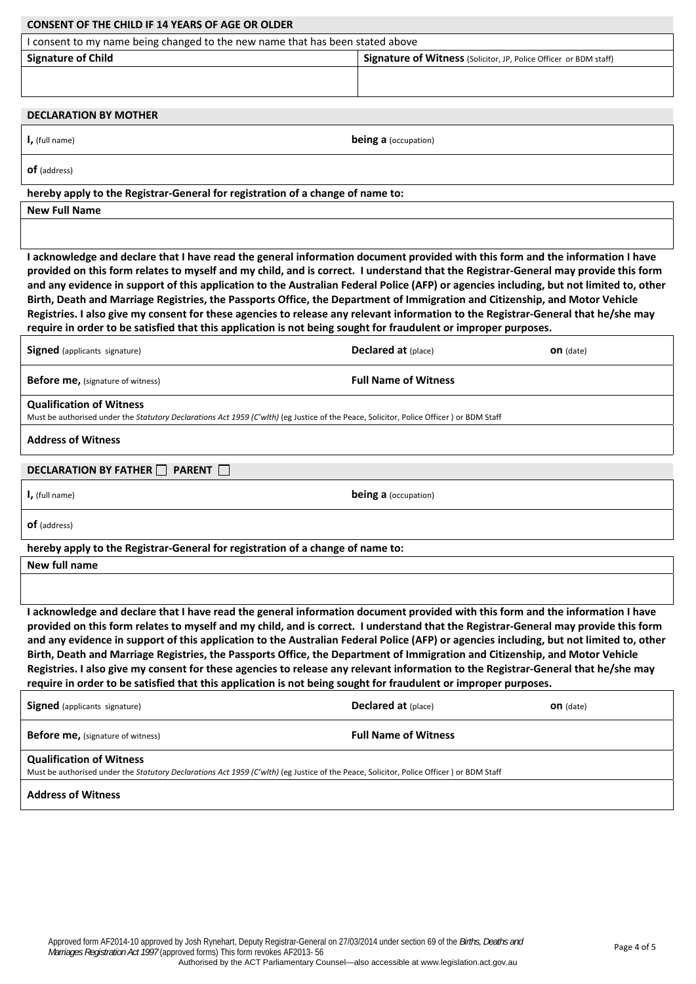| <b>CONSENT OF THE CHILD IF 14 YEARS OF AGE OR OLDER</b>                                                                                                                                                                                                                                                                                                                                                                                                                                                                                                                                                                                                                                                                                                                                                   |                                                                   |                  |  |  |  |  |  |
|-----------------------------------------------------------------------------------------------------------------------------------------------------------------------------------------------------------------------------------------------------------------------------------------------------------------------------------------------------------------------------------------------------------------------------------------------------------------------------------------------------------------------------------------------------------------------------------------------------------------------------------------------------------------------------------------------------------------------------------------------------------------------------------------------------------|-------------------------------------------------------------------|------------------|--|--|--|--|--|
| I consent to my name being changed to the new name that has been stated above                                                                                                                                                                                                                                                                                                                                                                                                                                                                                                                                                                                                                                                                                                                             |                                                                   |                  |  |  |  |  |  |
| <b>Signature of Child</b>                                                                                                                                                                                                                                                                                                                                                                                                                                                                                                                                                                                                                                                                                                                                                                                 | Signature of Witness (Solicitor, JP, Police Officer or BDM staff) |                  |  |  |  |  |  |
|                                                                                                                                                                                                                                                                                                                                                                                                                                                                                                                                                                                                                                                                                                                                                                                                           |                                                                   |                  |  |  |  |  |  |
| <b>DECLARATION BY MOTHER</b>                                                                                                                                                                                                                                                                                                                                                                                                                                                                                                                                                                                                                                                                                                                                                                              |                                                                   |                  |  |  |  |  |  |
| $\mathsf{I}$ , (full name)                                                                                                                                                                                                                                                                                                                                                                                                                                                                                                                                                                                                                                                                                                                                                                                | <b>being a</b> (occupation)                                       |                  |  |  |  |  |  |
| <b>of</b> (address)                                                                                                                                                                                                                                                                                                                                                                                                                                                                                                                                                                                                                                                                                                                                                                                       |                                                                   |                  |  |  |  |  |  |
| hereby apply to the Registrar-General for registration of a change of name to:                                                                                                                                                                                                                                                                                                                                                                                                                                                                                                                                                                                                                                                                                                                            |                                                                   |                  |  |  |  |  |  |
| <b>New Full Name</b>                                                                                                                                                                                                                                                                                                                                                                                                                                                                                                                                                                                                                                                                                                                                                                                      |                                                                   |                  |  |  |  |  |  |
|                                                                                                                                                                                                                                                                                                                                                                                                                                                                                                                                                                                                                                                                                                                                                                                                           |                                                                   |                  |  |  |  |  |  |
| I acknowledge and declare that I have read the general information document provided with this form and the information I have<br>provided on this form relates to myself and my child, and is correct. I understand that the Registrar-General may provide this form<br>and any evidence in support of this application to the Australian Federal Police (AFP) or agencies including, but not limited to, other<br>Birth, Death and Marriage Registries, the Passports Office, the Department of Immigration and Citizenship, and Motor Vehicle<br>Registries. I also give my consent for these agencies to release any relevant information to the Registrar-General that he/she may<br>require in order to be satisfied that this application is not being sought for fraudulent or improper purposes. |                                                                   |                  |  |  |  |  |  |
| <b>Signed</b> (applicants signature)                                                                                                                                                                                                                                                                                                                                                                                                                                                                                                                                                                                                                                                                                                                                                                      | <b>Declared at (place)</b><br><b>on</b> (date)                    |                  |  |  |  |  |  |
| <b>Before me, (signature of witness)</b>                                                                                                                                                                                                                                                                                                                                                                                                                                                                                                                                                                                                                                                                                                                                                                  | <b>Full Name of Witness</b>                                       |                  |  |  |  |  |  |
| <b>Qualification of Witness</b><br>Must be authorised under the Statutory Declarations Act 1959 (C'wlth) (eg Justice of the Peace, Solicitor, Police Officer) or BDM Staff                                                                                                                                                                                                                                                                                                                                                                                                                                                                                                                                                                                                                                |                                                                   |                  |  |  |  |  |  |
| <b>Address of Witness</b>                                                                                                                                                                                                                                                                                                                                                                                                                                                                                                                                                                                                                                                                                                                                                                                 |                                                                   |                  |  |  |  |  |  |
| <b>DECLARATION BY FATHER</b><br><b>PARENT</b>                                                                                                                                                                                                                                                                                                                                                                                                                                                                                                                                                                                                                                                                                                                                                             |                                                                   |                  |  |  |  |  |  |
| $\mathsf{I}$ , (full name)                                                                                                                                                                                                                                                                                                                                                                                                                                                                                                                                                                                                                                                                                                                                                                                | <b>being a</b> (occupation)                                       |                  |  |  |  |  |  |
| <b>of</b> (address)                                                                                                                                                                                                                                                                                                                                                                                                                                                                                                                                                                                                                                                                                                                                                                                       |                                                                   |                  |  |  |  |  |  |
| hereby apply to the Registrar-General for registration of a change of name to:                                                                                                                                                                                                                                                                                                                                                                                                                                                                                                                                                                                                                                                                                                                            |                                                                   |                  |  |  |  |  |  |
| New full name                                                                                                                                                                                                                                                                                                                                                                                                                                                                                                                                                                                                                                                                                                                                                                                             |                                                                   |                  |  |  |  |  |  |
|                                                                                                                                                                                                                                                                                                                                                                                                                                                                                                                                                                                                                                                                                                                                                                                                           |                                                                   |                  |  |  |  |  |  |
| I acknowledge and declare that I have read the general information document provided with this form and the information I have<br>provided on this form relates to myself and my child, and is correct. I understand that the Registrar-General may provide this form<br>and any evidence in support of this application to the Australian Federal Police (AFP) or agencies including, but not limited to, other<br>Birth, Death and Marriage Registries, the Passports Office, the Department of Immigration and Citizenship, and Motor Vehicle<br>Registries. I also give my consent for these agencies to release any relevant information to the Registrar-General that he/she may<br>require in order to be satisfied that this application is not being sought for fraudulent or improper purposes. |                                                                   |                  |  |  |  |  |  |
| <b>Signed</b> (applicants signature)                                                                                                                                                                                                                                                                                                                                                                                                                                                                                                                                                                                                                                                                                                                                                                      | Declared at (place)                                               | <b>on</b> (date) |  |  |  |  |  |
| <b>Before me, (signature of witness)</b>                                                                                                                                                                                                                                                                                                                                                                                                                                                                                                                                                                                                                                                                                                                                                                  | <b>Full Name of Witness</b>                                       |                  |  |  |  |  |  |
| <b>Qualification of Witness</b><br>Must be authorised under the Statutory Declarations Act 1959 (C'wlth) (eg Justice of the Peace, Solicitor, Police Officer) or BDM Staff                                                                                                                                                                                                                                                                                                                                                                                                                                                                                                                                                                                                                                |                                                                   |                  |  |  |  |  |  |

**Address of Witness**